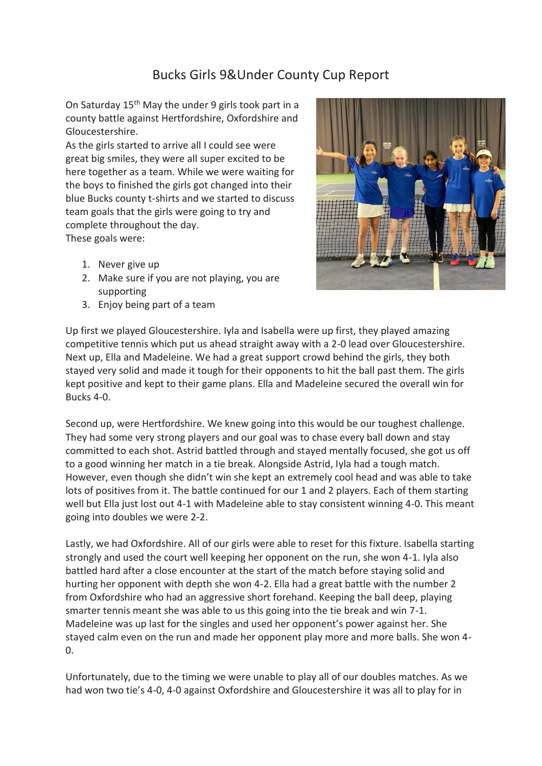## Bucks Girls 9&Under County Cup Report

On Saturday 15th May the under 9 girls took part in a county battle against Hertfordshire, Oxfordshire and Gloucestershire.

As the girls started to arrive all I could see were great big smiles, they were all super excited to be here together as a team. While we were waiting for the boys to finished the girls got changed into their blue Bucks county t-shirts and we started to discuss team goals that the girls were going to try and complete throughout the day. These goals were:

- 1. Never give up
- 2. Make sure if you are not playing, you are supporting
- 3. Enjoy being part of a team



Up first we played Gloucestershire. Iyla and Isabella were up first, they played amazing competitive tennis which put us ahead straight away with a 2-0 lead over Gloucestershire. Next up, Ella and Madeleine. We had a great support crowd behind the girls, they both stayed very solid and made it tough for their opponents to hit the ball past them. The girls kept positive and kept to their game plans. Ella and Madeleine secured the overall win for Bucks 4-0.

Second up, were Hertfordshire. We knew going into this would be our toughest challenge. They had some very strong players and our goal was to chase every ball down and stay committed to each shot. Astrid battled through and stayed mentally focused, she got us off to a good winning her match in a tie break. Alongside Astrid, Iyla had a tough match. However, even though she didn't win she kept an extremely cool head and was able to take lots of positives from it. The battle continued for our 1 and 2 players. Each of them starting well but Ella just lost out 4-1 with Madeleine able to stay consistent winning 4-0. This meant going into doubles we were 2-2.

Lastly, we had Oxfordshire. All of our girls were able to reset for this fixture. Isabella starting strongly and used the court well keeping her opponent on the run, she won 4-1. Iyla also battled hard after a close encounter at the start of the match before staying solid and hurting her opponent with depth she won 4-2. Ella had a great battle with the number 2 from Oxfordshire who had an aggressive short forehand. Keeping the ball deep, playing smarter tennis meant she was able to us this going into the tie break and win 7-1. Madeleine was up last for the singles and used her opponent's power against her. She stayed calm even on the run and made her opponent play more and more balls. She won 4- 0.

Unfortunately, due to the timing we were unable to play all of our doubles matches. As we had won two tie's 4-0, 4-0 against Oxfordshire and Gloucestershire it was all to play for in